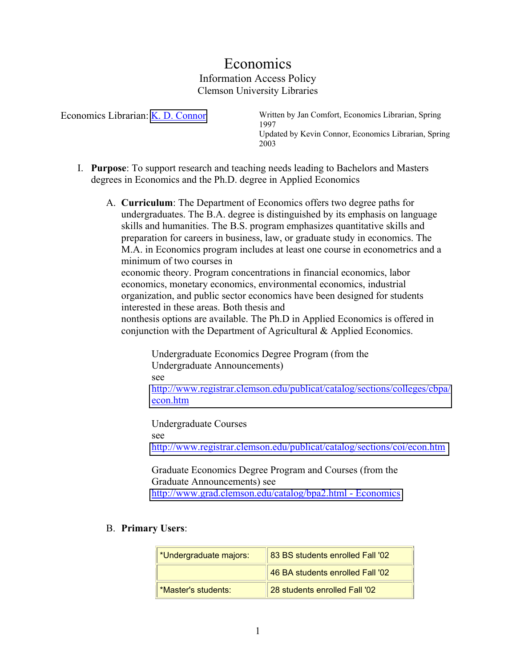# Economics Information Access Policy Clemson University Libraries

Economics Librarian: [K. D. Connor](mailto:connor@clemson.edu) Written by Jan Comfort, Economics Librarian, Spring 1997 Updated by Kevin Connor, Economics Librarian, Spring 2003

I. **Purpose**: To support research and teaching needs leading to Bachelors and Masters degrees in Economics and the Ph.D. degree in Applied Economics

interested in these areas. Both thesis and

A. **Curriculum**: The Department of Economics offers two degree paths for undergraduates. The B.A. degree is distinguished by its emphasis on language skills and humanities. The B.S. program emphasizes quantitative skills and preparation for careers in business, law, or graduate study in economics. The M.A. in Economics program includes at least one course in econometrics and a minimum of two courses in economic theory. Program concentrations in financial economics, labor economics, monetary economics, environmental economics, industrial organization, and public sector economics have been designed for students

nonthesis options are available. The Ph.D in Applied Economics is offered in conjunction with the Department of Agricultural & Applied Economics.

Undergraduate Economics Degree Program (from the Undergraduate Announcements) see [http://www.registrar.clemson.edu/publicat/catalog/sections/colleges/cbpa/](http://www.registrar.clemson.edu/publicat/catalog/sections/colleges/cbpa/econ.htm) econ.htm

Undergraduate Courses see <http://www.registrar.clemson.edu/publicat/catalog/sections/coi/econ.htm>

Graduate Economics Degree Program and Courses (from the Graduate Announcements) see <http://www.grad.clemson.edu/catalog/bpa2.html - Economics>

B. **Primary Users**:

| *Undergraduate majors: | 83 BS students enrolled Fall '02 |
|------------------------|----------------------------------|
|                        | 46 BA students enrolled Fall '02 |
| *Master's students:    | 28 students enrolled Fall '02    |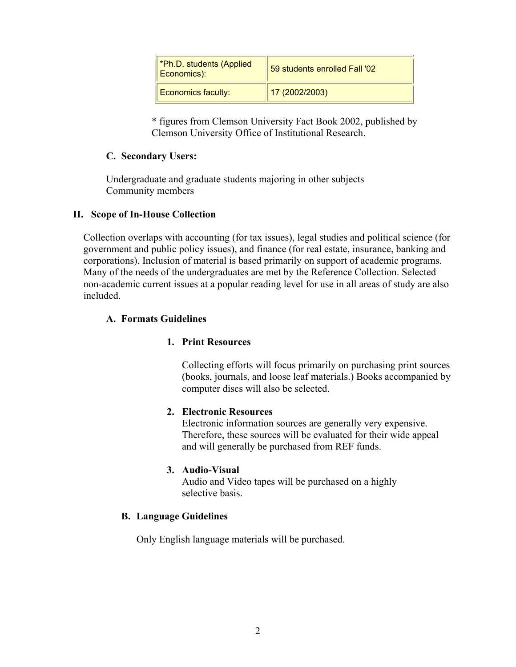| *Ph.D. students (Applied<br>Economics): | 59 students enrolled Fall '02 |
|-----------------------------------------|-------------------------------|
| <b>Economics faculty:</b>               | 17(2002/2003)                 |

\* figures from Clemson University Fact Book 2002, published by Clemson University Office of Institutional Research.

# **C. Secondary Users:**

Undergraduate and graduate students majoring in other subjects Community members

### **II. Scope of In-House Collection**

Collection overlaps with accounting (for tax issues), legal studies and political science (for government and public policy issues), and finance (for real estate, insurance, banking and corporations). Inclusion of material is based primarily on support of academic programs. Many of the needs of the undergraduates are met by the Reference Collection. Selected non-academic current issues at a popular reading level for use in all areas of study are also included.

### **A. Formats Guidelines**

#### **1. Print Resources**

Collecting efforts will focus primarily on purchasing print sources (books, journals, and loose leaf materials.) Books accompanied by computer discs will also be selected.

#### **2. Electronic Resources**

Electronic information sources are generally very expensive. Therefore, these sources will be evaluated for their wide appeal and will generally be purchased from REF funds.

# **3. Audio-Visual**

Audio and Video tapes will be purchased on a highly selective basis.

# **B. Language Guidelines**

Only English language materials will be purchased.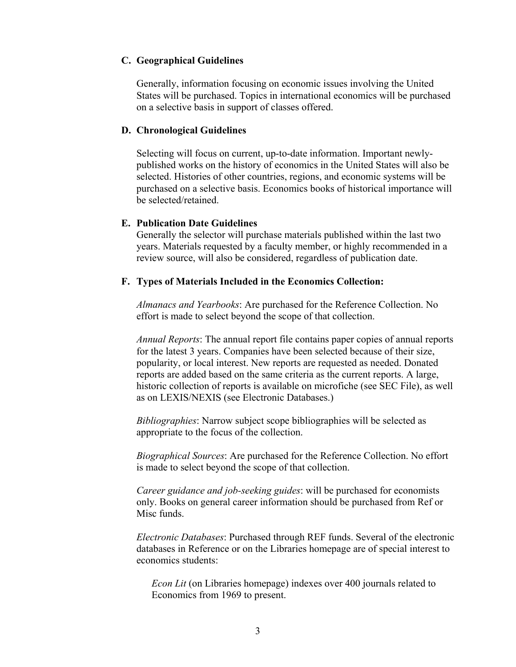#### **C. Geographical Guidelines**

Generally, information focusing on economic issues involving the United States will be purchased. Topics in international economics will be purchased on a selective basis in support of classes offered.

#### **D. Chronological Guidelines**

Selecting will focus on current, up-to-date information. Important newlypublished works on the history of economics in the United States will also be selected. Histories of other countries, regions, and economic systems will be purchased on a selective basis. Economics books of historical importance will be selected/retained.

#### **E. Publication Date Guidelines**

Generally the selector will purchase materials published within the last two years. Materials requested by a faculty member, or highly recommended in a review source, will also be considered, regardless of publication date.

### **F. Types of Materials Included in the Economics Collection:**

*Almanacs and Yearbooks*: Are purchased for the Reference Collection. No effort is made to select beyond the scope of that collection.

*Annual Reports*: The annual report file contains paper copies of annual reports for the latest 3 years. Companies have been selected because of their size, popularity, or local interest. New reports are requested as needed. Donated reports are added based on the same criteria as the current reports. A large, historic collection of reports is available on microfiche (see SEC File), as well as on LEXIS/NEXIS (see Electronic Databases.)

*Bibliographies*: Narrow subject scope bibliographies will be selected as appropriate to the focus of the collection.

*Biographical Sources*: Are purchased for the Reference Collection. No effort is made to select beyond the scope of that collection.

*Career guidance and job-seeking guides*: will be purchased for economists only. Books on general career information should be purchased from Ref or Misc funds.

*Electronic Databases*: Purchased through REF funds. Several of the electronic databases in Reference or on the Libraries homepage are of special interest to economics students:

*Econ Lit* (on Libraries homepage) indexes over 400 journals related to Economics from 1969 to present.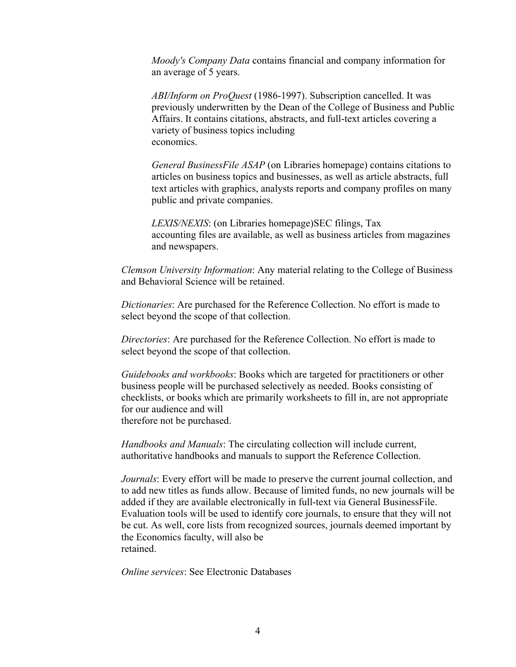*Moody's Company Data* contains financial and company information for an average of 5 years.

*ABI/Inform on ProQuest* (1986-1997). Subscription cancelled. It was previously underwritten by the Dean of the College of Business and Public Affairs. It contains citations, abstracts, and full-text articles covering a variety of business topics including economics.

*General BusinessFile ASAP* (on Libraries homepage) contains citations to articles on business topics and businesses, as well as article abstracts, full text articles with graphics, analysts reports and company profiles on many public and private companies.

*LEXIS/NEXIS*: (on Libraries homepage)SEC filings, Tax accounting files are available, as well as business articles from magazines and newspapers.

*Clemson University Information*: Any material relating to the College of Business and Behavioral Science will be retained.

*Dictionaries*: Are purchased for the Reference Collection. No effort is made to select beyond the scope of that collection.

*Directories*: Are purchased for the Reference Collection. No effort is made to select beyond the scope of that collection.

*Guidebooks and workbooks*: Books which are targeted for practitioners or other business people will be purchased selectively as needed. Books consisting of checklists, or books which are primarily worksheets to fill in, are not appropriate for our audience and will therefore not be purchased.

*Handbooks and Manuals*: The circulating collection will include current, authoritative handbooks and manuals to support the Reference Collection.

*Journals*: Every effort will be made to preserve the current journal collection, and to add new titles as funds allow. Because of limited funds, no new journals will be added if they are available electronically in full-text via General BusinessFile. Evaluation tools will be used to identify core journals, to ensure that they will not be cut. As well, core lists from recognized sources, journals deemed important by the Economics faculty, will also be retained.

*Online services*: See Electronic Databases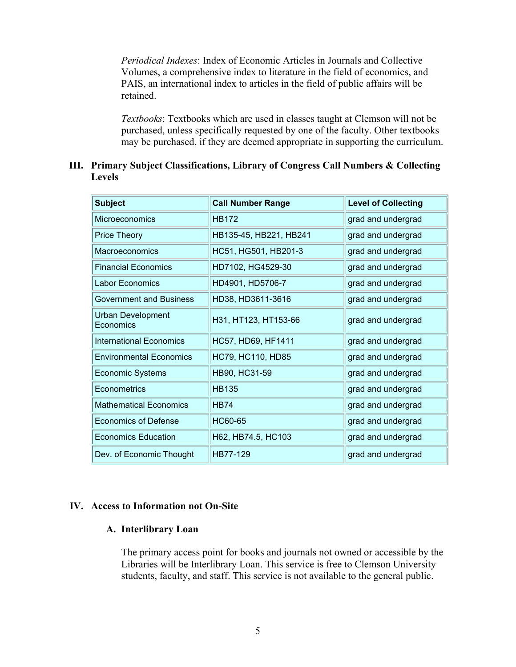*Periodical Indexes*: Index of Economic Articles in Journals and Collective Volumes, a comprehensive index to literature in the field of economics, and PAIS, an international index to articles in the field of public affairs will be retained.

*Textbooks*: Textbooks which are used in classes taught at Clemson will not be purchased, unless specifically requested by one of the faculty. Other textbooks may be purchased, if they are deemed appropriate in supporting the curriculum.

#### **III. Primary Subject Classifications, Library of Congress Call Numbers & Collecting Levels**

| <b>Subject</b>                        | <b>Call Number Range</b> | <b>Level of Collecting</b> |
|---------------------------------------|--------------------------|----------------------------|
| Microeconomics                        | <b>HB172</b>             | grad and undergrad         |
| <b>Price Theory</b>                   | HB135-45, HB221, HB241   | grad and undergrad         |
| Macroeconomics                        | HC51, HG501, HB201-3     | grad and undergrad         |
| <b>Financial Economics</b>            | HD7102, HG4529-30        | grad and undergrad         |
| <b>Labor Economics</b>                | HD4901, HD5706-7         | grad and undergrad         |
| <b>Government and Business</b>        | HD38, HD3611-3616        | grad and undergrad         |
| <b>Urban Development</b><br>Economics | H31, HT123, HT153-66     | grad and undergrad         |
| International Economics               | HC57, HD69, HF1411       | grad and undergrad         |
| <b>Environmental Economics</b>        | HC79, HC110, HD85        | grad and undergrad         |
| <b>Economic Systems</b>               | HB90, HC31-59            | grad and undergrad         |
| Econometrics                          | <b>HB135</b>             | grad and undergrad         |
| <b>Mathematical Economics</b>         | <b>HB74</b>              | grad and undergrad         |
| <b>Economics of Defense</b>           | HC60-65                  | grad and undergrad         |
| <b>Economics Education</b>            | H62, HB74.5, HC103       | grad and undergrad         |
| Dev. of Economic Thought              | HB77-129                 | grad and undergrad         |

#### **IV. Access to Information not On-Site**

#### **A. Interlibrary Loan**

The primary access point for books and journals not owned or accessible by the Libraries will be Interlibrary Loan. This service is free to Clemson University students, faculty, and staff. This service is not available to the general public.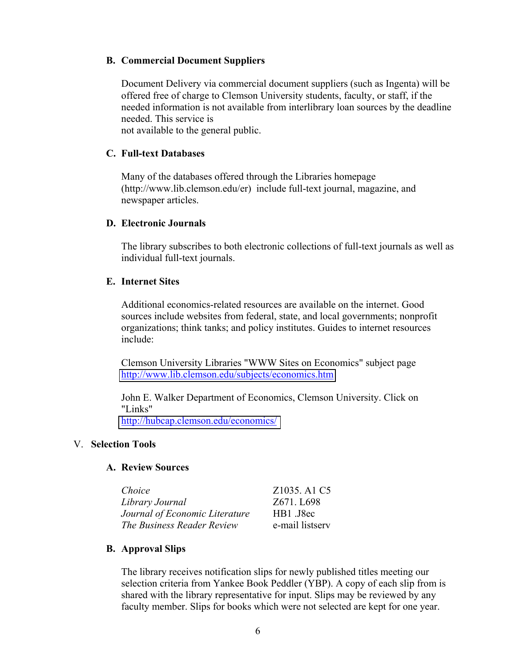#### **B. Commercial Document Suppliers**

Document Delivery via commercial document suppliers (such as Ingenta) will be offered free of charge to Clemson University students, faculty, or staff, if the needed information is not available from interlibrary loan sources by the deadline needed. This service is

not available to the general public.

# **C. Full-text Databases**

Many of the databases offered through the Libraries homepage (http://www.lib.clemson.edu/er) include full-text journal, magazine, and newspaper articles.

#### **D. Electronic Journals**

The library subscribes to both electronic collections of full-text journals as well as individual full-text journals.

### **E. Internet Sites**

Additional economics-related resources are available on the internet. Good sources include websites from federal, state, and local governments; nonprofit organizations; think tanks; and policy institutes. Guides to internet resources include:

Clemson University Libraries "WWW Sites on Economics" subject page <http://www.lib.clemson.edu/subjects/economics.htm>

John E. Walker Department of Economics, Clemson University. Click on "Links" <http://hubcap.clemson.edu/economics/>

#### V. **Selection Tools**

#### **A. Review Sources**

| Choice                         |  |
|--------------------------------|--|
| Library Journal                |  |
| Journal of Economic Literature |  |
| The Business Reader Review     |  |

*Choice* Z1035. A1 C5 *Library Journal* Z671. L698 *Journal of Economic Literature* HB1 .J8ec *The Business Reader Review* e-mail listserv

# **B. Approval Slips**

The library receives notification slips for newly published titles meeting our selection criteria from Yankee Book Peddler (YBP). A copy of each slip from is shared with the library representative for input. Slips may be reviewed by any faculty member. Slips for books which were not selected are kept for one year.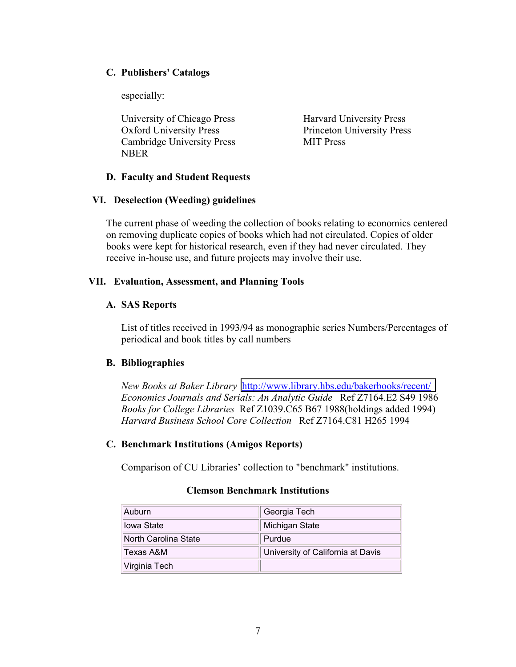# **C. Publishers' Catalogs**

especially:

University of Chicago Press Harvard University Press Oxford University Press Princeton University Press Cambridge University Press MIT Press NBER

# **D. Faculty and Student Requests**

### **VI. Deselection (Weeding) guidelines**

The current phase of weeding the collection of books relating to economics centered on removing duplicate copies of books which had not circulated. Copies of older books were kept for historical research, even if they had never circulated. They receive in-house use, and future projects may involve their use.

### **VII. Evaluation, Assessment, and Planning Tools**

### **A. SAS Reports**

List of titles received in 1993/94 as monographic series Numbers/Percentages of periodical and book titles by call numbers

# **B. Bibliographies**

*New Books at Baker Library* <http://www.library.hbs.edu/bakerbooks/recent/> *Economics Journals and Serials: An Analytic Guide* Ref Z7164.E2 S49 1986 *Books for College Libraries* Ref Z1039.C65 B67 1988(holdings added 1994) *Harvard Business School Core Collection* Ref Z7164.C81 H265 1994

# **C. Benchmark Institutions (Amigos Reports)**

Comparison of CU Libraries' collection to "benchmark" institutions.

| Auburn               | Georgia Tech                      |  |
|----------------------|-----------------------------------|--|
| llowa State          | Michigan State                    |  |
| North Carolina State | Purdue                            |  |
| Texas A&M            | University of California at Davis |  |
| Virginia Tech        |                                   |  |
|                      |                                   |  |

# **Clemson Benchmark Institutions**